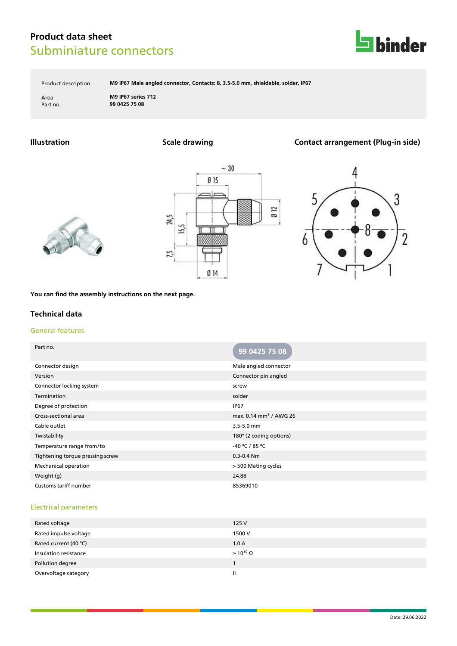

Product description **M9 IP67 Male angled connector, Contacts: 8, 3.5-5.0 mm, shieldable, solder, IP67**

Area **M9 IP67 series 712** Part no. **99 0425 75 08**

## **Illustration Scale drawing Contact arrangement (Plug-in side)**







**You can find the assembly instructions on the next page.**

### **Technical data**

### General features

| Part no.                         | 99 0425 75 08                      |
|----------------------------------|------------------------------------|
| Connector design                 | Male angled connector              |
| Version                          | Connector pin angled               |
| Connector locking system         | screw                              |
| Termination                      | solder                             |
| Degree of protection             | <b>IP67</b>                        |
| Cross-sectional area             | max. 0.14 mm <sup>2</sup> / AWG 26 |
| Cable outlet                     | 3.5-5.0 mm                         |
| Twistability                     | 180° (2 coding options)            |
| Temperature range from/to        | -40 °C / 85 °C                     |
| Tightening torque pressing screw | $0.3 - 0.4$ Nm                     |
| <b>Mechanical operation</b>      | > 500 Mating cycles                |
| Weight (g)                       | 24.88                              |
| Customs tariff number            | 85369010                           |

#### Electrical parameters

| Rated voltage         | 125 V                 |
|-----------------------|-----------------------|
| Rated impulse voltage | 1500 V                |
| Rated current (40 °C) | 1.0A                  |
| Insulation resistance | $\geq 10^{10} \Omega$ |
| Pollution degree      |                       |
| Overvoltage category  | Ш                     |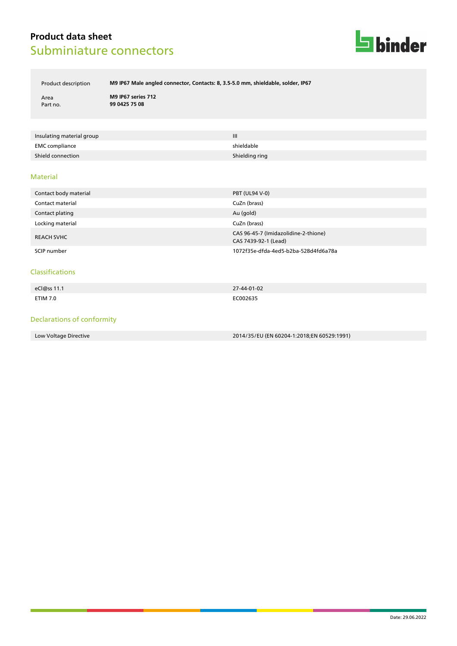

Product description **M9 IP67 Male angled connector, Contacts: 8, 3.5-5.0 mm, shieldable, solder, IP67**

Area **M9 IP67 series 712** Part no. **99 0425 75 08**

| Insulating material group | $\mathbf{III}$ |
|---------------------------|----------------|
| EMC compliance            | shieldable     |
| Shield connection         | Shielding ring |

#### Material

| Contact body material | <b>PBT (UL94 V-0)</b>                                        |
|-----------------------|--------------------------------------------------------------|
| Contact material      | CuZn (brass)                                                 |
| Contact plating       | Au (gold)                                                    |
| Locking material      | CuZn (brass)                                                 |
| <b>REACH SVHC</b>     | CAS 96-45-7 (Imidazolidine-2-thione)<br>CAS 7439-92-1 (Lead) |
| SCIP number           | 1072f35e-dfda-4ed5-b2ba-528d4fd6a78a                         |

#### Classifications

| eCl@ss 11.1 | 27-44-01-02 |
|-------------|-------------|
|             |             |
| ETIM 7.0    | EC002635    |

### Declarations of conformity

Low Voltage Directive 2014/35/EU (EN 60204-1:2018;EN 60529:1991)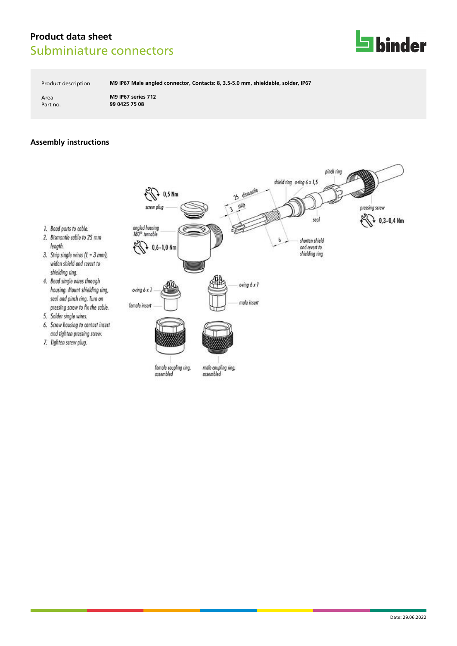

Product description **M9 IP67 Male angled connector, Contacts: 8, 3.5-5.0 mm, shieldable, solder, IP67**

Area **M9 IP67 series 712** Part no. **99 0425 75 08**

# **Assembly instructions**



- length.
- 3. Strip single wires (L = 3 mm), widen shield and revert to shielding ring.
- 4. Bead single wires through housing. Mount shielding ring, seal and pinch ring. Turn on pressing screw to fix the coble.
- 5. Solder single wires.
- 6. Screw housing to contact insert and tighten pressing screw.
- 7. Tighten screw plug.